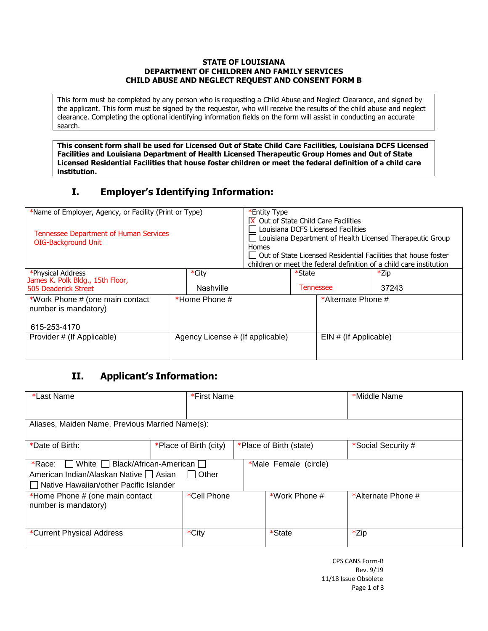#### **STATE OF LOUISIANA DEPARTMENT OF CHILDREN AND FAMILY SERVICES CHILD ABUSE AND NEGLECT REQUEST AND CONSENT FORM B**

This form must be completed by any person who is requesting a Child Abuse and Neglect Clearance, and signed by the applicant. This form must be signed by the requestor, who will receive the results of the child abuse and neglect clearance. Completing the optional identifying information fields on the form will assist in conducting an accurate search.

**This consent form shall be used for Licensed Out of State Child Care Facilities, Louisiana DCFS Licensed Facilities and Louisiana Department of Health Licensed Therapeutic Group Homes and Out of State Licensed Residential Facilities that house foster children or meet the federal definition of a child care institution.**

# **I. Employer's Identifying Information:**

| *Name of Employer, Agency, or Facility (Print or Type)<br><b>Tennessee Department of Human Services</b><br><b>OIG-Background Unit</b> |                                  | *Entity Type<br>Homes |        | $\boxed{\mathbf{X}}$ Out of State Child Care Facilities<br>Louisiana DCFS Licensed Facilities | $\Box$ Louisiana Department of Health Licensed Therapeutic Group<br>    Out of State Licensed Residential Facilities that house foster<br>children or meet the federal definition of a child care institution |
|---------------------------------------------------------------------------------------------------------------------------------------|----------------------------------|-----------------------|--------|-----------------------------------------------------------------------------------------------|---------------------------------------------------------------------------------------------------------------------------------------------------------------------------------------------------------------|
| *Physical Address<br>James K. Polk Bldg., 15th Floor,<br>505 Deaderick Street                                                         | *City<br><b>Nashville</b>        |                       | *State | Tennessee                                                                                     | *Zip<br>37243                                                                                                                                                                                                 |
| *Work Phone # (one main contact<br>number is mandatory)<br>615-253-4170                                                               | *Home Phone $#$                  |                       |        | *Alternate Phone #                                                                            |                                                                                                                                                                                                               |
| Provider # (If Applicable)                                                                                                            | Agency License # (If applicable) |                       |        | EIN # (If Applicable)                                                                         |                                                                                                                                                                                                               |

## **II. Applicant's Information:**

| *Last Name                                                                                                                                      | *First Name            |                         | *Middle Name       |
|-------------------------------------------------------------------------------------------------------------------------------------------------|------------------------|-------------------------|--------------------|
| Aliases, Maiden Name, Previous Married Name(s):                                                                                                 |                        |                         |                    |
| *Date of Birth:                                                                                                                                 | *Place of Birth (city) | *Place of Birth (state) | *Social Security # |
| $\Box$ White $\Box$ Black/African-American $\Box$<br>*Race:<br>American Indian/Alaskan Native □ Asian<br>Native Hawaiian/other Pacific Islander |                        |                         |                    |
| *Home Phone # (one main contact<br>number is mandatory)                                                                                         | *Cell Phone            | *Work Phone #           | *Alternate Phone # |
| *Current Physical Address                                                                                                                       | *City                  | *State                  | *Zip               |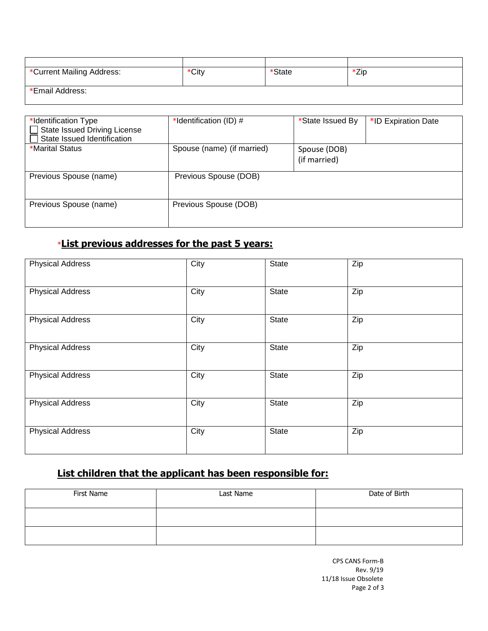| *Current Mailing Address: | *City | *State | *Zip |
|---------------------------|-------|--------|------|
|                           |       |        |      |
| *Email Address:           |       |        |      |
|                           |       |        |      |

| *Identification Type<br><b>State Issued Driving License</b><br>State Issued Identification | *Identification (ID) #     | *State Issued By             | *ID Expiration Date |
|--------------------------------------------------------------------------------------------|----------------------------|------------------------------|---------------------|
| *Marital Status                                                                            | Spouse (name) (if married) | Spouse (DOB)<br>(if married) |                     |
| Previous Spouse (name)                                                                     | Previous Spouse (DOB)      |                              |                     |
| Previous Spouse (name)                                                                     | Previous Spouse (DOB)      |                              |                     |

# \***List previous addresses for the past 5 years:**

| <b>Physical Address</b> | City | State | Zip |
|-------------------------|------|-------|-----|
| <b>Physical Address</b> | City | State | Zip |
| <b>Physical Address</b> | City | State | Zip |
| <b>Physical Address</b> | City | State | Zip |
| <b>Physical Address</b> | City | State | Zip |
| <b>Physical Address</b> | City | State | Zip |
| <b>Physical Address</b> | City | State | Zip |

## **List children that the applicant has been responsible for:**

| First Name | Last Name | Date of Birth |
|------------|-----------|---------------|
|            |           |               |
|            |           |               |

CPS CANS Form-B Rev. 9/19 11/18 Issue Obsolete Page 2 of 3